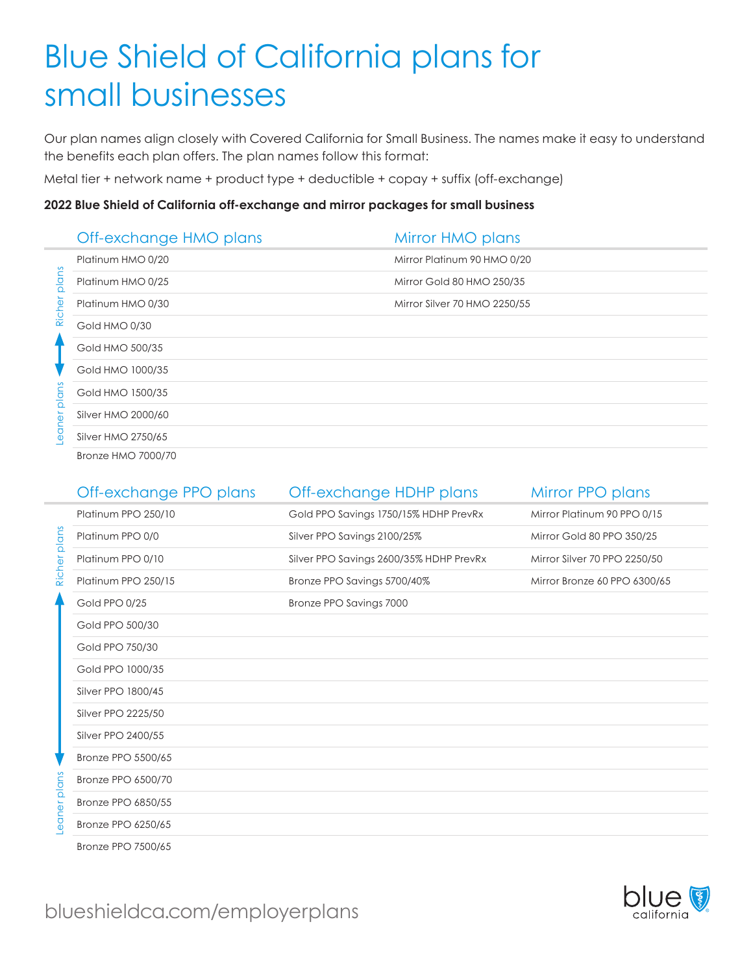# Blue Shield of California plans for small businesses

Our plan names align closely with Covered California for Small Business. The names make it easy to understand the benefits each plan offers. The plan names follow this format:

Metal tier + network name + product type + deductible + copay + suffix (off-exchange)

#### **2022 Blue Shield of California off-exchange and mirror packages for small business**

|                    | Off-exchange HMO plans    | Mirror HMO plans             |
|--------------------|---------------------------|------------------------------|
|                    | Platinum HMO 0/20         | Mirror Platinum 90 HMO 0/20  |
| alans              | Platinum HMO 0/25         | Mirror Gold 80 HMO 250/35    |
| Riche              | Platinum HMO 0/30         | Mirror Silver 70 HMO 2250/55 |
|                    | Gold HMO 0/30             |                              |
|                    | Gold HMO 500/35           |                              |
|                    | Gold HMO 1000/35          |                              |
| plan               | Gold HMO 1500/35          |                              |
| $\bar{\Phi}$<br>0e | Silver HMO 2000/60        |                              |
|                    | Silver HMO 2750/65        |                              |
|                    | <b>Bronze HMO 7000/70</b> |                              |

|                                             | Off-exchange PPO plans | Off-exchange HDHP plans                 | Mirror PPO plans             |
|---------------------------------------------|------------------------|-----------------------------------------|------------------------------|
|                                             | Platinum PPO 250/10    | Gold PPO Savings 1750/15% HDHP PrevRx   | Mirror Platinum 90 PPO 0/15  |
| Richer plans<br>ner plans<br>$\overline{Q}$ | Platinum PPO 0/0       | Silver PPO Savings 2100/25%             | Mirror Gold 80 PPO 350/25    |
|                                             | Platinum PPO 0/10      | Silver PPO Savings 2600/35% HDHP PrevRx | Mirror Silver 70 PPO 2250/50 |
|                                             | Platinum PPO 250/15    | Bronze PPO Savings 5700/40%             | Mirror Bronze 60 PPO 6300/65 |
|                                             | Gold PPO 0/25          | Bronze PPO Savings 7000                 |                              |
|                                             | Gold PPO 500/30        |                                         |                              |
|                                             | Gold PPO 750/30        |                                         |                              |
|                                             | Gold PPO 1000/35       |                                         |                              |
|                                             | Silver PPO 1800/45     |                                         |                              |
|                                             | Silver PPO 2225/50     |                                         |                              |
|                                             | Silver PPO 2400/55     |                                         |                              |
|                                             | Bronze PPO 5500/65     |                                         |                              |
|                                             | Bronze PPO 6500/70     |                                         |                              |
|                                             | Bronze PPO 6850/55     |                                         |                              |
|                                             | Bronze PPO 6250/65     |                                         |                              |
|                                             | Bronze PPO 7500/65     |                                         |                              |

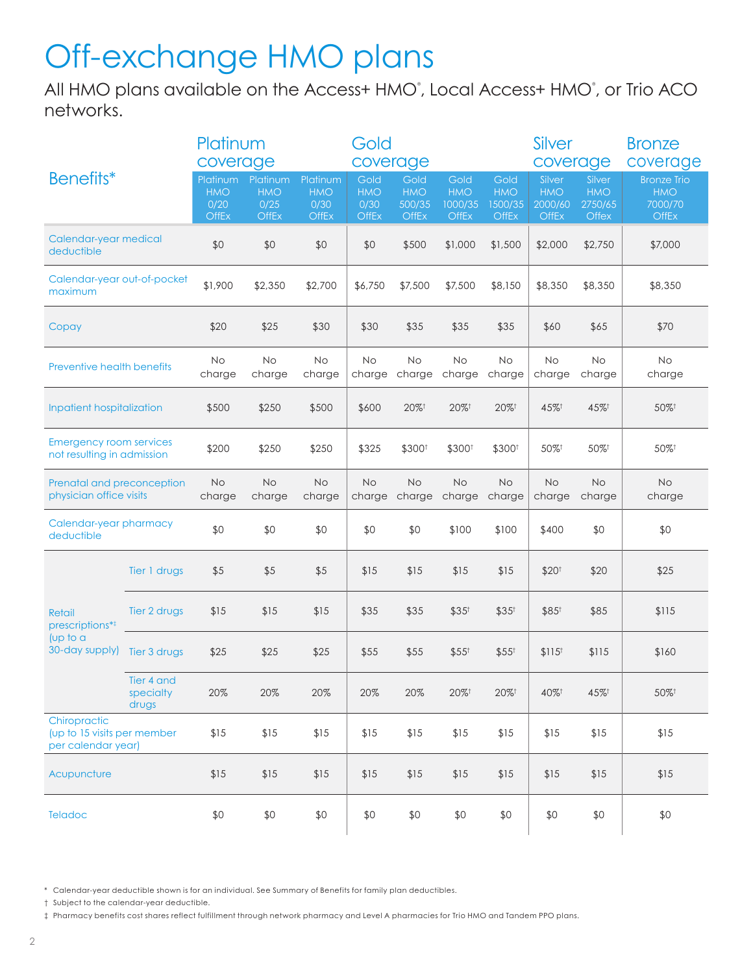## Off-exchange HMO plans

All HMO plans available on the Access+ HMO°, Local Access+ HMO°, or Trio ACO networks.

| Benefits*                                                         |                                  | Platinum<br>coverage                           |                                                | Gold<br>coverage                               |                                     |                                              | Silver<br>coverage                            |                                        | <b>Bronze</b><br>coverage                |                                          |                                                             |
|-------------------------------------------------------------------|----------------------------------|------------------------------------------------|------------------------------------------------|------------------------------------------------|-------------------------------------|----------------------------------------------|-----------------------------------------------|----------------------------------------|------------------------------------------|------------------------------------------|-------------------------------------------------------------|
|                                                                   |                                  | Platinum<br><b>HMO</b><br>0/20<br><b>OffEx</b> | Platinum<br><b>HMO</b><br>0/25<br><b>OffEx</b> | Platinum<br><b>HMO</b><br>0/30<br><b>OffEx</b> | Gold<br><b>HMO</b><br>0/30<br>OffEx | Gold<br><b>HMO</b><br>500/35<br><b>OffEx</b> | Gold<br><b>HMO</b><br>1000/35<br><b>OffEx</b> | Gold<br><b>HMO</b><br>1500/35<br>OffEx | Silver<br><b>HMO</b><br>2000/60<br>OffEx | Silver<br><b>HMO</b><br>2750/65<br>Offex | <b>Bronze Trio</b><br><b>HMO</b><br>7000/70<br><b>OffEx</b> |
| Calendar-year medical<br>deductible                               |                                  | \$0                                            | \$0                                            | \$0                                            | \$0                                 | \$500                                        | \$1,000                                       | \$1,500                                | \$2,000                                  | \$2,750                                  | \$7,000                                                     |
| Calendar-year out-of-pocket<br>maximum                            |                                  | \$1,900                                        | \$2,350                                        | \$2,700                                        | \$6,750                             | \$7,500                                      | \$7,500                                       | \$8,150                                | \$8,350                                  | \$8,350                                  | \$8,350                                                     |
| Copay                                                             |                                  | \$20                                           | \$25                                           | \$30                                           | \$30                                | \$35                                         | \$35                                          | \$35                                   | \$60                                     | \$65                                     | \$70                                                        |
| <b>Preventive health benefits</b>                                 |                                  | No<br>charge                                   | <b>No</b><br>charge                            | <b>No</b><br>charge                            | <b>No</b><br>charge                 | No<br>charge                                 | <b>No</b><br>charge                           | No<br>charge                           | <b>No</b><br>charge                      | <b>No</b><br>charge                      | <b>No</b><br>charge                                         |
| Inpatient hospitalization                                         |                                  | \$500                                          | \$250                                          | \$500                                          | \$600                               | $20\%$ <sup>†</sup>                          | $20\%$ <sup>†</sup>                           | $20\%$ <sup>†</sup>                    | 45%+                                     | 45%                                      | 50%                                                         |
| <b>Emergency room services</b><br>not resulting in admission      |                                  | \$200                                          | \$250                                          | \$250                                          | \$325                               | \$300 <sup>+</sup>                           | \$300 <sup>t</sup>                            | \$300 <sup>t</sup>                     | 50%                                      | 50%                                      | 50%+                                                        |
| Prenatal and preconception<br>physician office visits             |                                  | No<br>charge                                   | <b>No</b><br>charge                            | <b>No</b><br>charge                            | <b>No</b>                           | No<br>charge charge                          | No<br>charge                                  | <b>No</b><br>charge                    | <b>No</b><br>charge                      | <b>No</b><br>charge                      | No<br>charge                                                |
| Calendar-year pharmacy<br>deductible                              |                                  | \$0                                            | \$0                                            | \$0                                            | \$0                                 | \$0                                          | \$100                                         | \$100                                  | \$400                                    | \$0                                      | \$0                                                         |
|                                                                   | Tier 1 drugs                     | \$5                                            | \$5                                            | \$5                                            | \$15                                | \$15                                         | \$15                                          | \$15                                   | \$20 <sup>†</sup>                        | \$20                                     | \$25                                                        |
| Retail<br>prescriptions* <sup>‡</sup>                             | Tier 2 drugs                     | \$15                                           | \$15                                           | \$15                                           | \$35                                | \$35                                         | $$35^{\dagger}$                               | $$35^{\dagger}$                        | $$85^{\dagger}$                          | \$85                                     | \$115                                                       |
| (up to a<br>30-day supply)                                        | Tier 3 drugs                     | \$25                                           | \$25                                           | \$25                                           | \$55                                | \$55                                         | $$55^{\dagger}$                               | $$55^{\dagger}$                        | $$115^{\dagger}$                         | \$115                                    | \$160                                                       |
|                                                                   | Tier 4 and<br>specialty<br>drugs | 20%                                            | 20%                                            | 20%                                            | 20%                                 | 20%                                          | $20\%$ <sup>†</sup>                           | $20\%$ <sup>†</sup>                    | 40%                                      | 45%                                      | 50%+                                                        |
| Chiropractic<br>(up to 15 visits per member<br>per calendar year) |                                  | \$15                                           | \$15                                           | \$15                                           | \$15                                | \$15                                         | \$15                                          | \$15                                   | \$15                                     | \$15                                     | \$15                                                        |
| Acupuncture                                                       |                                  | \$15                                           | \$15                                           | \$15                                           | \$15                                | \$15                                         | \$15                                          | \$15                                   | \$15                                     | \$15                                     | \$15                                                        |
| Teladoc                                                           |                                  | \$0                                            | \$0                                            | \$0                                            | \$0                                 | \$0                                          | \$0                                           | \$0                                    | \$0                                      | \$0                                      | \$0                                                         |

\* Calendar-year deductible shown is for an individual. See Summary of Benefits for family plan deductibles.

† Subject to the calendar-year deductible.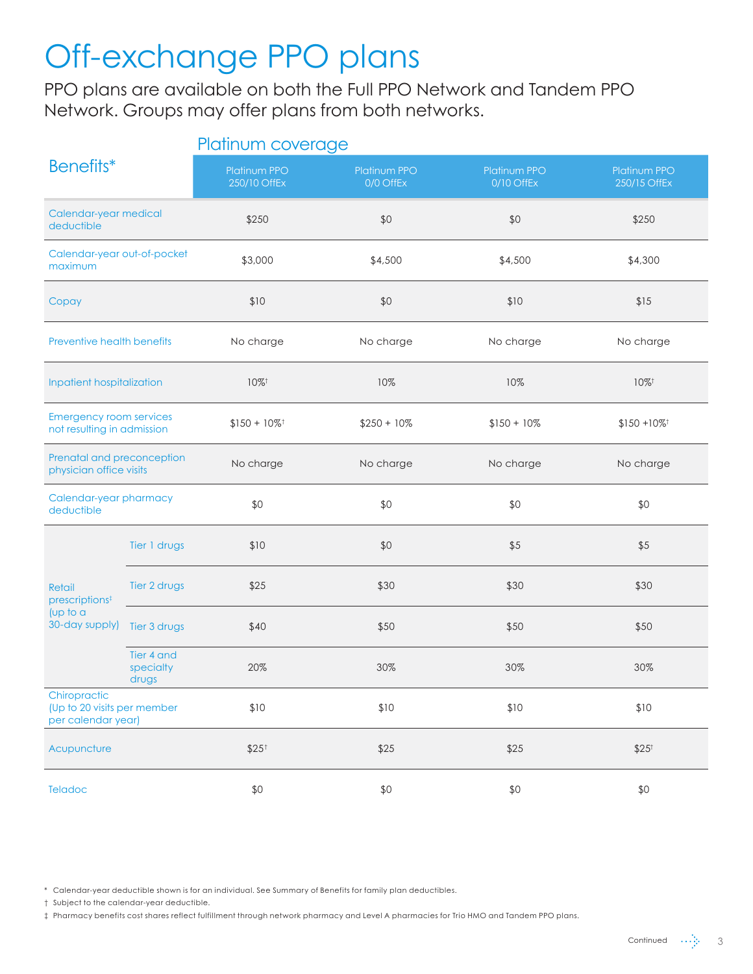## Off-exchange PPO plans

PPO plans are available on both the Full PPO Network and Tandem PPO Network. Groups may offer plans from both networks.

|                                                                   |                                  | Platinum coverage                   |                                  |                                   |                                     |  |  |  |
|-------------------------------------------------------------------|----------------------------------|-------------------------------------|----------------------------------|-----------------------------------|-------------------------------------|--|--|--|
| Benefits*                                                         |                                  | <b>Platinum PPO</b><br>250/10 OffEx | <b>Platinum PPO</b><br>0/0 OffEx | <b>Platinum PPO</b><br>0/10 OffEx | <b>Platinum PPO</b><br>250/15 OffEx |  |  |  |
| Calendar-year medical<br>deductible                               |                                  | \$250                               | \$0                              | \$0                               | \$250                               |  |  |  |
| Calendar-year out-of-pocket<br>maximum                            |                                  | \$3,000                             | \$4,500                          | \$4,500                           | \$4,300                             |  |  |  |
| Copay                                                             |                                  | \$10                                | \$0                              | \$10                              | \$15                                |  |  |  |
| Preventive health benefits                                        |                                  | No charge                           | No charge                        | No charge                         | No charge                           |  |  |  |
| Inpatient hospitalization                                         |                                  | $10\%$ <sup>†</sup>                 | 10%                              | 10%                               | $10\%$ <sup>†</sup>                 |  |  |  |
| <b>Emergency room services</b><br>not resulting in admission      |                                  | $$150 + 10\%$ <sup>†</sup>          | $$250 + 10\%$                    | $$150 + 10\%$                     | $$150 + 10\%$ <sup>†</sup>          |  |  |  |
| Prenatal and preconception<br>physician office visits             |                                  | No charge                           | No charge                        | No charge                         | No charge                           |  |  |  |
| Calendar-year pharmacy<br>deductible                              |                                  | \$0                                 | \$0                              | \$0                               | \$0                                 |  |  |  |
|                                                                   | Tier 1 drugs                     | \$10                                | \$0                              | \$5                               | \$5                                 |  |  |  |
| Retail<br>prescriptions <sup>‡</sup>                              | Tier 2 drugs                     | \$25                                | \$30                             | \$30                              | \$30                                |  |  |  |
| $($ up to a<br>30-day supply)                                     | Tier 3 drugs                     | \$40                                | \$50                             | \$50                              | \$50                                |  |  |  |
|                                                                   | Tier 4 and<br>specialty<br>drugs | 20%                                 | 30%                              | 30%                               | 30%                                 |  |  |  |
| Chiropractic<br>(Up to 20 visits per member<br>per calendar year) |                                  | \$10                                | \$10                             | \$10                              | \$10                                |  |  |  |
| Acupuncture                                                       |                                  | $$25^{\dagger}$                     | \$25                             | \$25                              | $$25$ <sup>t</sup>                  |  |  |  |
| Teladoc                                                           |                                  | \$0                                 | \$0                              | \$0                               | \$0                                 |  |  |  |

\* Calendar-year deductible shown is for an individual. See Summary of Benefits for family plan deductibles.

† Subject to the calendar-year deductible.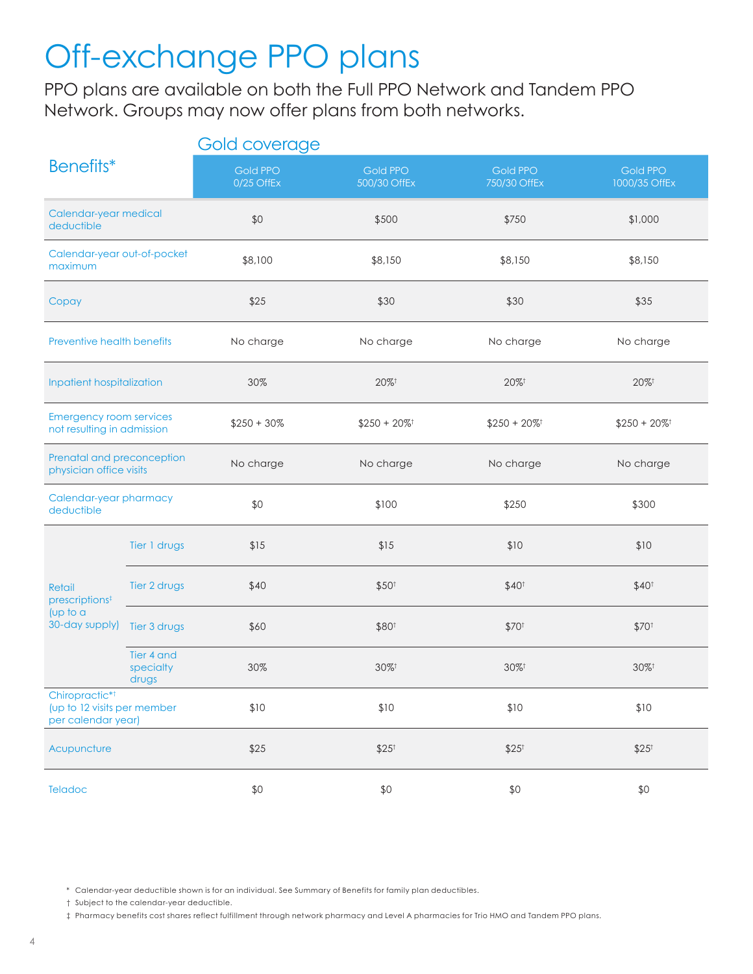## Off-exchange PPO plans

PPO plans are available on both the Full PPO Network and Tandem PPO Network. Groups may now offer plans from both networks.

|                                                                                 |                                  | Gold coverage                 |                                                          |                                 |                                  |
|---------------------------------------------------------------------------------|----------------------------------|-------------------------------|----------------------------------------------------------|---------------------------------|----------------------------------|
| Benefits*                                                                       |                                  | <b>Gold PPO</b><br>0/25 OffEx | <b>Gold PPO</b><br>500/30 OffEx                          | <b>Gold PPO</b><br>750/30 OffEx | <b>Gold PPO</b><br>1000/35 OffEx |
| Calendar-year medical<br>deductible                                             |                                  | \$0                           | \$500                                                    | \$750                           | \$1,000                          |
| Calendar-year out-of-pocket<br>maximum                                          |                                  | \$8,100                       | \$8,150                                                  | \$8,150                         | \$8,150                          |
| Copay                                                                           |                                  | \$25                          | \$30                                                     | \$30                            | \$35                             |
| Preventive health benefits                                                      |                                  | No charge                     | No charge                                                | No charge                       | No charge                        |
| Inpatient hospitalization                                                       |                                  | 30%                           | $20\%$ <sup>†</sup>                                      | 20%                             | $20\%$ <sup>†</sup>              |
| <b>Emergency room services</b><br>not resulting in admission                    |                                  | $$250 + 30\%$                 | $$250 + 20\%$ <sup>†</sup><br>$$250 + 20\%$ <sup>†</sup> |                                 | $$250 + 20\%$ <sup>†</sup>       |
| Prenatal and preconception<br>physician office visits                           |                                  | No charge                     | No charge                                                | No charge                       | No charge                        |
| Calendar-year pharmacy<br>deductible                                            |                                  | \$0                           | \$100                                                    | \$250                           | \$300                            |
|                                                                                 | Tier 1 drugs                     | \$15                          | \$15                                                     | \$10                            | \$10                             |
| Retail<br>prescriptions <sup>‡</sup>                                            | Tier 2 drugs                     | \$40                          | \$50 <sup>†</sup>                                        | \$40 <sup>†</sup>               | \$40 <sup>†</sup>                |
| [up to a]<br>30-day supply)                                                     | Tier 3 drugs                     | \$60                          | \$80 <sup>t</sup>                                        | \$70 <sup>†</sup>               | \$70 <sup>t</sup>                |
|                                                                                 | Tier 4 and<br>specialty<br>drugs | 30%                           | $30\%$ <sup>†</sup>                                      | $30\%$ <sup>†</sup>             | $30\%$ <sup>†</sup>              |
| Chiropractic* <sup>†</sup><br>(up to 12 visits per member<br>per calendar year) |                                  | \$10                          | \$10                                                     | \$10                            | \$10                             |
| Acupuncture                                                                     |                                  | \$25                          | $$25^{\dagger}$                                          | $$25$ <sup>t</sup>              | $$25^{\dagger}$                  |
| Teladoc                                                                         |                                  | \$0                           | \$0                                                      | \$0                             | \$0                              |

\* Calendar-year deductible shown is for an individual. See Summary of Benefits for family plan deductibles.

† Subject to the calendar-year deductible.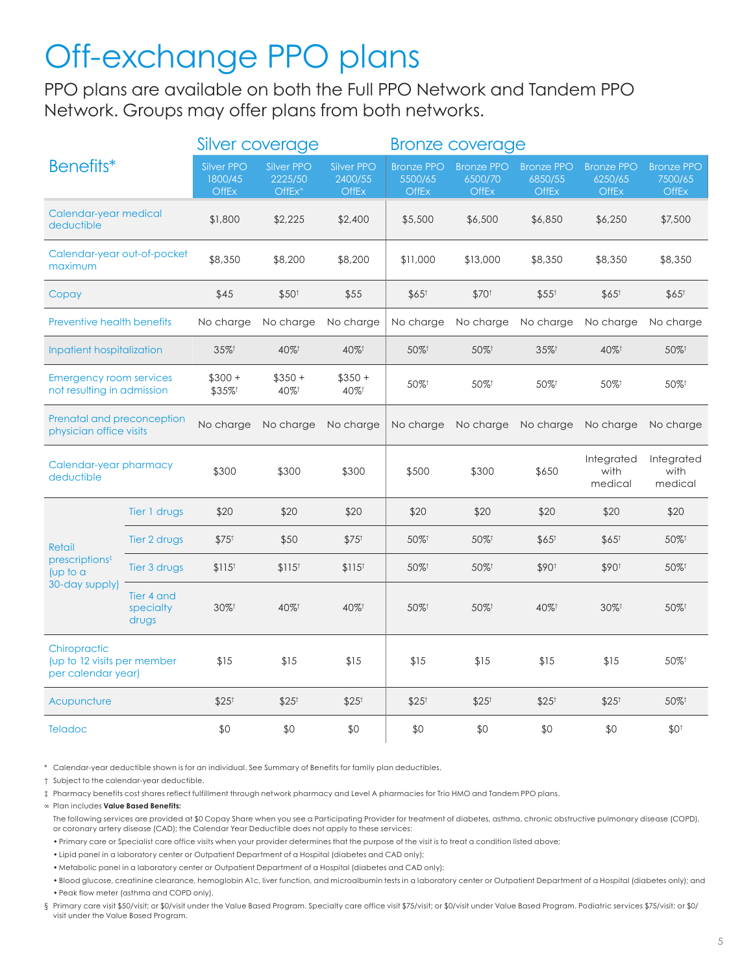## Off-exchange PPO plans

PPO plans are available on both the Full PPO Network and Tandem PPO Network. Groups may offer plans from both networks.

|                                                                   |                                  | Silver coverage                              |                                   |                                              | <b>Bronze coverage</b>                       |                                              |                                              |                                              |                                              |
|-------------------------------------------------------------------|----------------------------------|----------------------------------------------|-----------------------------------|----------------------------------------------|----------------------------------------------|----------------------------------------------|----------------------------------------------|----------------------------------------------|----------------------------------------------|
| Benefits*                                                         |                                  | <b>Silver PPO</b><br>1800/45<br><b>OffEx</b> | Silver PPO<br>2225/50<br>$OffEx*$ | <b>Silver PPO</b><br>2400/55<br><b>OffEx</b> | <b>Bronze PPO</b><br>5500/65<br><b>OffEx</b> | <b>Bronze PPO</b><br>6500/70<br><b>OffEx</b> | <b>Bronze PPO</b><br>6850/55<br><b>OffEx</b> | <b>Bronze PPO</b><br>6250/65<br><b>OffEx</b> | <b>Bronze PPO</b><br>7500/65<br><b>OffEx</b> |
| Calendar-year medical<br>deductible                               |                                  | \$1,800                                      | \$2,225                           | \$2,400                                      | \$5,500                                      | \$6,500                                      | \$6,850                                      | \$6,250                                      | \$7,500                                      |
| Calendar-year out-of-pocket<br>maximum                            |                                  | \$8,350                                      | \$8,200                           | \$8,200                                      | \$11,000                                     | \$13,000                                     | \$8,350                                      | \$8,350                                      | \$8,350                                      |
| Copay                                                             |                                  | \$45                                         | \$50 <sup>t</sup>                 | \$55                                         | $$65^{\dagger}$                              | \$70 <sup>t</sup>                            | $$55^{\dagger}$                              | $$65^{\dagger}$                              | $$65^{\dagger}$                              |
| <b>Preventive health benefits</b>                                 |                                  | No charge                                    | No charge                         | No charge                                    | No charge                                    | No charge                                    | No charge                                    | No charge                                    | No charge                                    |
| Inpatient hospitalization                                         |                                  | 35%+                                         | 40%                               | 40%                                          | 50%+                                         | 50%+                                         | 35%+                                         | 40%+                                         | 50%+                                         |
| <b>Emergency room services</b><br>not resulting in admission      |                                  | $$300 +$<br>\$35%                            | $$350 +$<br>40%+                  | $$350 +$<br>40%+                             | 50%+                                         | 50%                                          | 50%                                          | 50%                                          | 50%+                                         |
| Prenatal and preconception<br>physician office visits             |                                  | No charge                                    | No charge                         | No charge                                    | No charge                                    | No charge                                    | No charge                                    | No charge                                    | No charge                                    |
| Calendar-year pharmacy<br>deductible                              |                                  | \$300                                        | \$300                             | \$300                                        | \$500                                        | \$300                                        | \$650                                        | Integrated<br>with<br>medical                | Integrated<br>with<br>medical                |
|                                                                   | Tier 1 drugs                     | \$20                                         | \$20                              | \$20                                         | \$20                                         | \$20                                         | \$20                                         | \$20                                         | \$20                                         |
| <b>Retail</b>                                                     | Tier 2 drugs                     | $$75^{\dagger}$                              | \$50                              | $$75^{\dagger}$                              | 50%+                                         | 50%+                                         | $$65^{\dagger}$                              | $$65^{\dagger}$                              | 50%+                                         |
| prescriptions <sup>‡</sup><br>$($ up to a                         | Tier 3 drugs                     | \$115 <sup>†</sup>                           | \$115 <sup>†</sup>                | \$115 <sup>†</sup>                           | 50%+                                         | 50%+                                         | \$90 <sup>t</sup>                            | \$90 <sup>t</sup>                            | 50%+                                         |
| 30-day supply)                                                    | Tier 4 and<br>specialty<br>drugs | $30\%$ <sup>†</sup>                          | 40%+                              | 40%+                                         | 50%+                                         | 50%+                                         | 40%                                          | 30%+                                         | 50%+                                         |
| Chiropractic<br>(up to 12 visits per member<br>per calendar year) |                                  | \$15                                         | \$15                              | \$15                                         | \$15                                         | \$15                                         | \$15                                         | \$15                                         | 50%+                                         |
| Acupuncture                                                       |                                  | $$25^{\dagger}$                              | $$25^{\dagger}$                   | $$25^{\dagger}$                              | $$25^{\dagger}$                              | $$25^{\dagger}$                              | $$25^{\dagger}$                              | $$25^{\dagger}$                              | 50%+                                         |
| <b>Teladoc</b>                                                    |                                  | \$0                                          | \$0                               | \$0                                          | \$0                                          | \$0                                          | \$0                                          | \$0                                          | \$0 <sup>†</sup>                             |

\* Calendar-year deductible shown is for an individual. See Summary of Benefits for family plan deductibles.

† Subject to the calendar-year deductible.

‡ Pharmacy benefits cost shares reflect fulfillment through network pharmacy and Level A pharmacies for Trio HMO and Tandem PPO plans.

∞ Plan includes **Value Based Benefits:**

 The following services are provided at \$0 Copay Share when you see a Participating Provider for treatment of diabetes, asthma, chronic obstructive pulmonary disease (COPD), or coronary artery disease (CAD); the Calendar Year Deductible does not apply to these services:

• Primary care or Specialist care office visits when your provider determines that the purpose of the visit is to treat a condition listed above;

• Lipid panel in a laboratory center or Outpatient Department of a Hospital (diabetes and CAD only);

• Metabolic panel in a laboratory center or Outpatient Department of a Hospital (diabetes and CAD only);

• Blood glucose, creatinine clearance, hemoglobin A1c, liver function, and microalbumin tests in a laboratory center or Outpatient Department of a Hospital (diabetes only); and

• Peak flow meter (asthma and COPD only).

§ Primary care visit \$50/visit; or \$0/visit under the Value Based Program. Specialty care office visit \$75/visit; or \$0/visit under Value Based Program. Podiatric services \$75/visit; or \$0/ visit under the Value Based Program.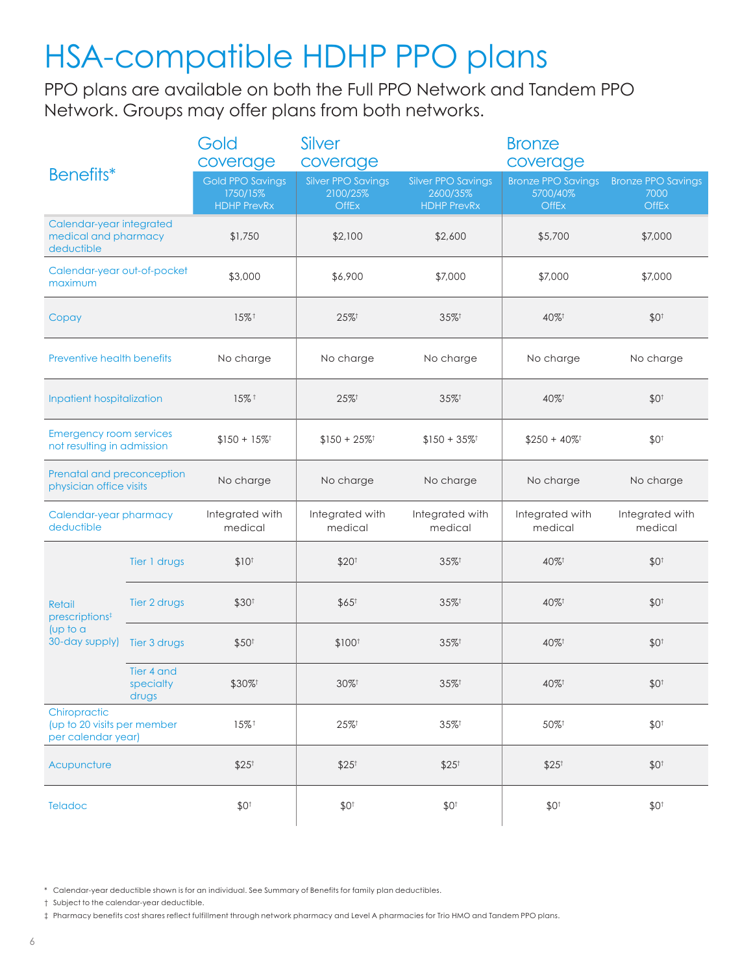## HSA-compatible HDHP PPO plans

PPO plans are available on both the Full PPO Network and Tandem PPO Network. Groups may offer plans from both networks.

| Benefits*                                                         |                                  | Gold<br>coverage                                          | Silver<br>coverage                                    |                                                             | <b>Bronze</b><br>coverage                             |                                                   |
|-------------------------------------------------------------------|----------------------------------|-----------------------------------------------------------|-------------------------------------------------------|-------------------------------------------------------------|-------------------------------------------------------|---------------------------------------------------|
|                                                                   |                                  | <b>Gold PPO Savings</b><br>1750/15%<br><b>HDHP PrevRx</b> | <b>Silver PPO Savings</b><br>2100/25%<br><b>OffEx</b> | <b>Silver PPO Savings</b><br>2600/35%<br><b>HDHP PrevRx</b> | <b>Bronze PPO Savings</b><br>5700/40%<br><b>OffEx</b> | <b>Bronze PPO Savings</b><br>7000<br><b>OffEx</b> |
| Calendar-year integrated<br>medical and pharmacy<br>deductible    |                                  | \$1,750                                                   | \$2,100                                               | \$2,600                                                     | \$5,700                                               | \$7,000                                           |
| Calendar-year out-of-pocket<br>maximum                            |                                  | \$3,000                                                   | \$6,900                                               | \$7,000                                                     | \$7,000                                               | \$7,000                                           |
| Copay                                                             |                                  | 15%+                                                      | $25\%$ <sup>†</sup>                                   | $35\%$ <sup>†</sup>                                         | 40%                                                   | \$0 <sup>†</sup>                                  |
| Preventive health benefits                                        |                                  | No charge                                                 | No charge                                             | No charge                                                   | No charge                                             | No charge                                         |
| Inpatient hospitalization                                         |                                  | $15\%$ <sup>†</sup>                                       | $25\%$ <sup>†</sup>                                   | $35\%$ <sup>†</sup>                                         | 40%                                                   | \$0 <sup>†</sup>                                  |
| <b>Emergency room services</b><br>not resulting in admission      |                                  | $$150 + 15\%$ <sup>†</sup>                                | $$150 + 25\%$ <sup>†</sup>                            | $$150 + 35\%$ <sup>†</sup>                                  | $$250 + 40\%$ <sup>†</sup>                            | \$0 <sup>†</sup>                                  |
| Prenatal and preconception<br>physician office visits             |                                  | No charge                                                 | No charge                                             | No charge                                                   | No charge                                             | No charge                                         |
| Calendar-year pharmacy<br>deductible                              |                                  | Integrated with<br>medical                                | Integrated with<br>medical                            | Integrated with<br>medical                                  | Integrated with<br>medical                            | Integrated with<br>medical                        |
|                                                                   | Tier 1 drugs                     | $$10^{+}$                                                 | \$20 <sup>†</sup>                                     | $35\%$ <sup>†</sup>                                         | 40%                                                   | \$0 <sup>†</sup>                                  |
| Retail<br>prescriptions <sup>‡</sup>                              | Tier 2 drugs                     | \$30 <sup>†</sup>                                         | $$65^{\dagger}$                                       | $35\%$ <sup>†</sup>                                         | 40%                                                   | \$0 <sup>†</sup>                                  |
| $($ up to a<br>30-day supply)                                     | Tier 3 drugs                     | \$50 <sup>†</sup>                                         | \$100 <sup>†</sup>                                    | $35\%$ <sup>†</sup>                                         | 40%                                                   | \$0 <sup>†</sup>                                  |
|                                                                   | Tier 4 and<br>specialty<br>drugs | \$30%                                                     | $30\%$ <sup>†</sup>                                   | $35\%$ <sup>†</sup>                                         |                                                       | $$0^{\dagger}$$                                   |
| Chiropractic<br>(up to 20 visits per member<br>per calendar year) |                                  | 15%+                                                      | $25\%$ <sup>†</sup>                                   | $35\%$ <sup>†</sup>                                         | 50%                                                   | \$0 <sup>†</sup>                                  |
| Acupuncture                                                       |                                  | $$25$ <sup>t</sup>                                        | $$25^{\dagger}$                                       | $$25^{\dagger}$                                             | $$25^{\dagger}$                                       | $$0^{\dagger}$                                    |
| Teladoc                                                           |                                  | \$0 <sup>†</sup>                                          | \$0 <sup>†</sup>                                      | \$0 <sup>†</sup>                                            | \$0 <sup>†</sup>                                      | \$0 <sup>†</sup>                                  |

\* Calendar-year deductible shown is for an individual. See Summary of Benefits for family plan deductibles.

† Subject to the calendar-year deductible.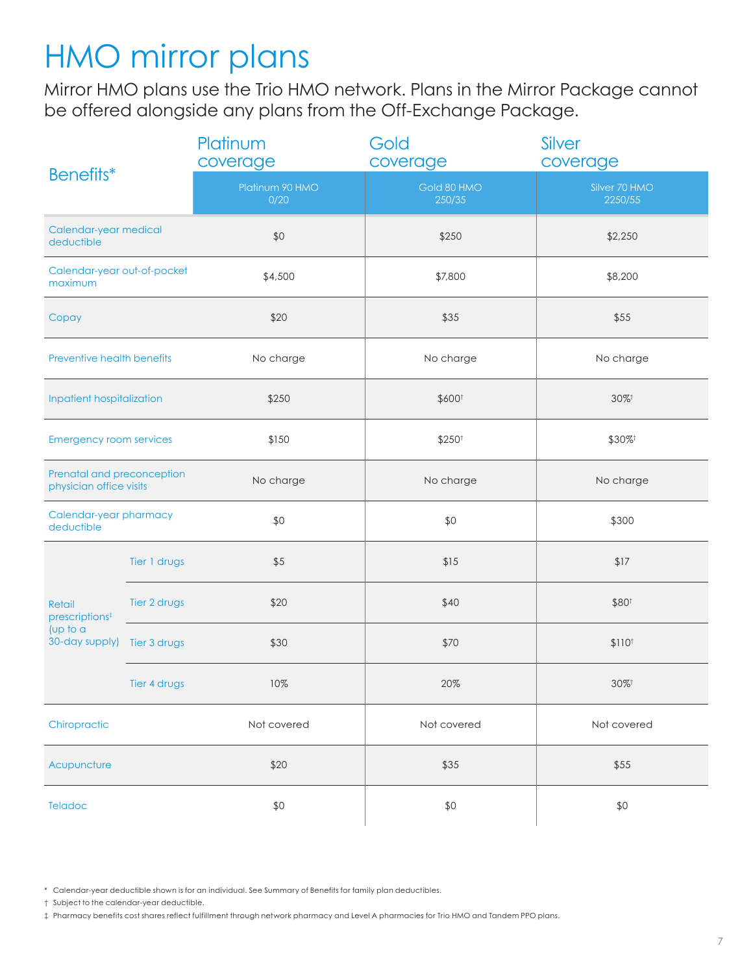## HMO mirror plans

Mirror HMO plans use the Trio HMO network. Plans in the Mirror Package cannot be offered alongside any plans from the Off-Exchange Package.

| Benefits*                                             |              | Platinum<br>coverage    | Gold<br>coverage      | Silver<br>coverage       |  |
|-------------------------------------------------------|--------------|-------------------------|-----------------------|--------------------------|--|
|                                                       |              | Platinum 90 HMO<br>0/20 | Gold 80 HMO<br>250/35 | Silver 70 HMO<br>2250/55 |  |
| Calendar-year medical<br>deductible                   |              | \$0                     | \$250                 | \$2,250                  |  |
| Calendar-year out-of-pocket<br>maximum                |              | \$4,500                 | \$7,800               | \$8,200                  |  |
| Copay                                                 |              | \$20                    | \$35                  | \$55                     |  |
| Preventive health benefits                            |              | No charge               | No charge             | No charge                |  |
| Inpatient hospitalization                             |              | \$250                   | \$600 <sup>t</sup>    | 30%+                     |  |
| <b>Emergency room services</b>                        |              | \$150                   | \$250 <sup>t</sup>    | \$30%                    |  |
| Prenatal and preconception<br>physician office visits |              | No charge               | No charge             | No charge                |  |
| Calendar-year pharmacy<br>deductible                  |              | \$0                     | \$0                   | \$300                    |  |
|                                                       | Tier 1 drugs | \$5                     | \$15                  | \$17                     |  |
| Retail<br>prescriptions <sup>‡</sup>                  | Tier 2 drugs | \$20                    | \$40                  | \$80 <sup>t</sup>        |  |
| (up to a<br>30-day supply) Tier 3 drugs               |              | \$30                    | \$70                  | \$110 <sup>†</sup>       |  |
|                                                       | Tier 4 drugs | 10%                     | 20%                   | $30\%$ <sup>†</sup>      |  |
| Chiropractic                                          |              | Not covered             | Not covered           | Not covered              |  |
| Acupuncture                                           |              | \$20                    | \$35                  | \$55                     |  |
| Teladoc                                               |              | \$0                     | \$0                   | \$0                      |  |

\* Calendar-year deductible shown is for an individual. See Summary of Benefits for family plan deductibles.

† Subject to the calendar-year deductible.